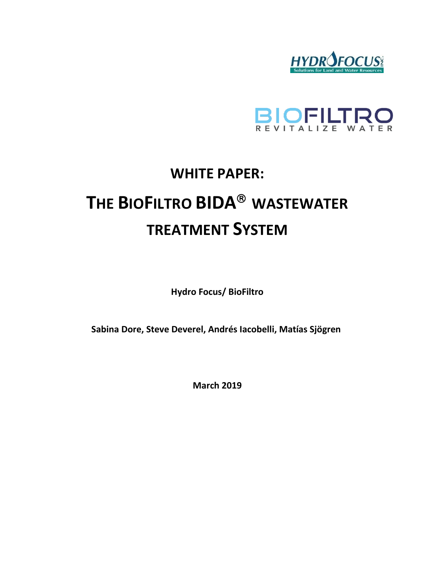



# **WHITE PAPER: THE BIOFILTRO BIDA WASTEWATER TREATMENT SYSTEM**

**Hydro Focus/ BioFiltro** 

**Sabina Dore, Steve Deverel, Andrés Iacobelli, Matías Sjögren**

**March 2019**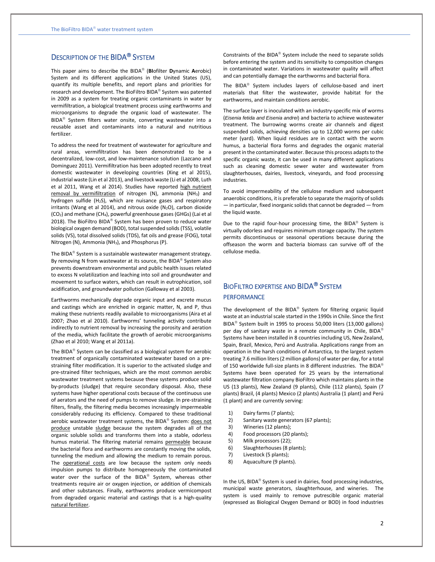# DESCRIPTION OF THE BIDA<sup>®</sup> SYSTEM

This paper aims to describe the BIDA (**BI**ofilter **D**ynamic **A**erobic) System and its different applications in the United States (US), quantify its multiple benefits, and report plans and priorities for research and development. The BioFiltro BIDA<sup>®</sup> System was patented in 2009 as a system for treating organic contaminants in water by vermifiltration, a biological treatment process using earthworms and microorganisms to degrade the organic load of wastewater. The BIDA<sup>®</sup> System filters water onsite, converting wastewater into a reusable asset and contaminants into a natural and nutritious fertilizer.

To address the need for treatment of wastewater for agriculture and rural areas, vermifiltration has been demonstrated to be a decentralized, low-cost, and low-maintenance solution (Lazcano and Dominguez 2011). Vermifiltration has been adopted recently to treat domestic wastewater in developing countries (Xing et al 2015), industrial waste (Lin et al 2013), and livestock waste (Li et al 2008, Luth et al 2011, Wang et al 2014). Studies have reported high nutrient removal by vermifiltration of nitrogen (N), ammonia (NH<sub>3</sub>) and hydrogen sulfide  $(H_2S)$ , which are nuisance gases and respiratory irritants (Wang et al 2014), and nitrous oxide ( $N_2$ O), carbon dioxide (CO2) and methane (CH4), powerful greenhouse gases (GHGs) (Lai et al 2018). The BioFiltro BIDA® System has been proven to reduce water biological oxygen demand (BOD), total suspended solids (TSS), volatile solids (VS), total dissolved solids (TDS), fat oils and grease (FOG), total Nitrogen (N), Ammonia (NH3), and Phosphorus (P).

The BIDA<sup>®</sup> System is a sustainable wastewater management strategy. By removing N from wastewater at its source, the BIDA® System also prevents downstream environmental and public health issues related to excess N volatilization and leaching into soil and groundwater and movement to surface waters, which can result in eutrophication, soil acidification, and groundwater pollution (Galloway et al 2003).

Earthworms mechanically degrade organic input and excrete mucus and castings which are enriched in organic matter, N, and P, thus making these nutrients readily available to microorganisms (Aira et al 2007; Zhao et al 2010). Earthworms' tunneling activity contribute indirectly to nutrient removal by increasing the porosity and aeration of the media, which facilitate the growth of aerobic microorganisms (Zhao et al 2010; Wang et al 2011a).

The BIDA<sup>®</sup> System can be classified as a biological system for aerobic treatment of organically contaminated wastewater based on a prestraining filter modification. It is superior to the activated sludge and pre-strained filter techniques, which are the most common aerobic wastewater treatment systems because these systems produce solid by-products (sludge) that require secondary disposal. Also, these systems have higher operational costs because of the continuous use of aerators and the need of pumps to remove sludge. In pre-straining filters, finally, the filtering media becomes increasingly impermeable considerably reducing its efficiency. Compared to these traditional aerobic wastewater treatment systems, the BIDA® System: does not produce unstable sludge because the system degrades all of the organic soluble solids and transforms them into a stable, odorless humus material. The filtering material remains permeable because the bacterial flora and earthworms are constantly moving the solids, tunneling the medium and allowing the medium to remain porous. The operational costs are low because the system only needs impulsion pumps to distribute homogeneously the contaminated water over the surface of the BIDA® System, whereas other treatments require air or oxygen injection, or addition of chemicals and other substances. Finally, earthworms produce vermicompost from degraded organic material and castings that is a high-quality natural fertilizer.

Constraints of the BIDA® System include the need to separate solids before entering the system and its sensitivity to composition changes in contaminated water. Variations in wastewater quality will affect and can potentially damage the earthworms and bacterial flora.

The BIDA<sup>®</sup> System includes layers of cellulose-based and inert materials that filter the wastewater, provide habitat for the earthworms, and maintain conditions aerobic.

The surface layer is inoculated with an industry-specific mix of worms (*Eisenia fetida and Eisenia andrei*) and bacteria to achieve wastewater treatment. The burrowing worms create air channels and digest suspended solids, achieving densities up to 12,000 worms per cubic meter (yard). When liquid residues are in contact with the worm humus, a bacterial flora forms and degrades the organic material present in the contaminated water. Because this process adapts to the specific organic waste, it can be used in many different applications such as cleaning domestic sewer water and wastewater from slaughterhouses, dairies, livestock, vineyards, and food processing industries.

To avoid impermeability of the cellulose medium and subsequent anaerobic conditions, it is preferable to separate the majority of solids — in particular, fixed inorganic solids that cannot be degraded — from the liquid waste.

Due to the rapid four-hour processing time, the BIDA® System is virtually odorless and requires minimum storage capacity. The system permits discontinuous or seasonal operations because during the offseason the worm and bacteria biomass can survive off of the cellulose media.

# BIOFILTRO EXPERTISE AND BIDA<sup>®</sup> SYSTEM PERFORMANCE

The development of the BIDA<sup>®</sup> System for filtering organic liquid waste at an industrial scale started in the 1990s in Chile. Since the first BIDA<sup>®</sup> System built in 1995 to process 50,000 liters (13,000 gallons) per day of sanitary waste in a remote community in Chile, BIDA® Systems have been installed in 8 countries including US, New Zealand, Spain, Brazil, Mexico, Perú and Australia. Applications range from an operation in the harsh conditions of Antarctica, to the largest system treating 7.6 million liters (2 million gallons) of water per day, for a total of 150 worldwide full-size plants in 8 different industries. The BIDA® Systems have been operated for 25 years by the international wastewater filtration company BioFiltro which maintains plants in the US (13 plants), New Zealand (9 plants), Chile (112 plants), Spain (7 plants) Brazil, (4 plants) Mexico (2 plants) Australia (1 plant) and Perú (1 plant) and are currently serving:

- 1) Dairy farms (7 plants);
- 2) Sanitary waste generators (67 plants);
- 3) Wineries (12 plants);
- 4) Food processors (20 plants);
- 5) Milk processors (22);
- 6) Slaughterhouses (8 plants);
- 7) Livestock (5 plants);
- 8) Aquaculture (9 plants).

In the US, BIDA® System is used in dairies, food processing industries, municipal waste generators, slaughterhouse, and wineries. The system is used mainly to remove putrescible organic material (expressed as Biological Oxygen Demand or BOD) in food industries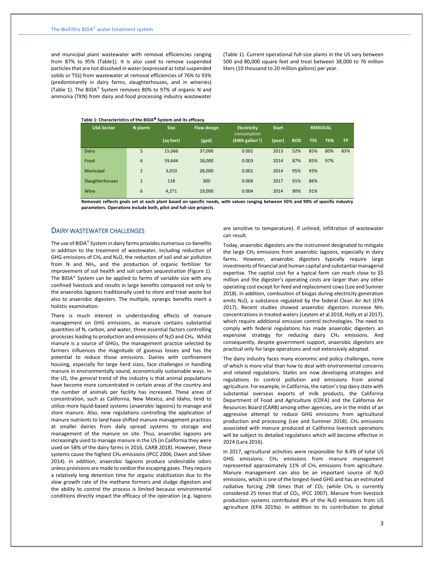and municipal plant wastewater with removal efficiencies ranging from 87% to 95% (Table1). It is also used to remove suspended particles that are not dissolved in water (expressed as total suspended solids or TSS) from wastewater at removal efficiencies of 76% to 93% (predominantly in dairy farms, slaughterhouses, and in wineries) (Table 1). The BIDA® System removes 80% to 97% of organic N and ammonia (TKN) from dairy and food processing industry wastewater

(Table 1). Current operational full-size plants in the US vary between 500 and 80,000 square feet and treat between 38,000 to 76 million liters (10 thousand to 20 million gallons) per year.

#### **Table 1: Characteristics of the BIDA System and its efficacy**

| <b>USA Sector</b> | N plants       | <b>Size</b> | <b>Flow design</b> | <b>Electricity</b><br>consumption | <b>Start</b> |            | <b>REMOVAL</b> |            |           |
|-------------------|----------------|-------------|--------------------|-----------------------------------|--------------|------------|----------------|------------|-----------|
|                   |                | (sq feet)   | (gpd)              | $(kWh$ gallon <sup>-1</sup> )     | (year)       | <b>BOD</b> | <b>TSS</b>     | <b>TKN</b> | <b>TP</b> |
| Dairy             | 5              | 15,066      | 37,000             | 0.002                             | 2013         | 52%        | 85%            | 80%        | 83%       |
| Food              | 6              | 59,644      | 18,000             | 0.003                             | 2014         | 87%        | 85%            | 97%        |           |
| Municipal         | $\overline{2}$ | 3,010       | 28,000             | 0.001                             | 2014         | 95%        | 93%            |            |           |
| Slaughterhouses   | $\mathbf{1}$   | 118         | 300                | 0.006                             | 2017         | 91%        | 86%            |            |           |
| Wine              | 6              | 4,271       | 19,000             | 0.004                             | 2014         | 90%        | 91%            |            |           |

**Removals reflects goals set at each plant based on specific needs, with values ranging between 50% and 90% of specific industry parameters. Operations include both, pilot and full-size projects**.

## DAIRY WASTEWATER CHALLENGES

The use of BIDA® System in dairy farms provides numerous co-benefits in addition to the treatment of wastewater, including reduction of GHG emissions of  $CH_4$  and N<sub>2</sub>O, the reduction of soil and air pollution from N and NH3, and the production of organic fertilizer for improvement of soil health and soil carbon sequestration (Figure 1). The BIDA<sup>®</sup> System can be applied to farms of variable size with any confined livestock and results in large benefits compared not only to the anaerobic lagoons traditionally used to store and treat waste but also to anaerobic digesters. The multiple, synergic benefits merit a holistic examination.

There is much interest in understanding effects of manure management on GHG emissions, as manure contains substantial quantities of N, carbon, and water, three essential factors controlling processes leading to production and emissions of N2O and CH4. Whilst manure is a source of GHGs, the management practice selected by farmers influences the magnitude of gaseous losses and has the potential to reduce those emissions. Dairies with confinement housing, especially for large herd sizes, face challenges in handling manure in environmentally sound, economically sustainable ways. In the US, the general trend of the industry is that animal populations have become more concentrated in certain areas of the country and the number of animals per facility has increased. These areas of concentration, such as California, New Mexico, and Idaho, tend to utilize more liquid-based systems (anaerobic lagoons) to manage and store manure. Also, new regulations controlling the application of manure nutrients to land have shifted manure management practices at smaller dairies from daily spread systems to storage and management of the manure on site. Thus, anaerobic lagoons are increasingly used to manage manure in the US (in California they were used on 58% of the dairy farms in 2016, CARB 2018). However, these systems cause the highest CH<sup>4</sup> emissions (IPCC 2006, Owen and Silver 2014). In addition, anaerobic lagoons produce undesirable odors unless provisions are made to oxidize the escaping gases. They require a relatively long detention time for organic stabilization due to the slow growth rate of the methane formers and sludge digestion and the ability to control the process is limited because environmental conditions directly impact the efficacy of the operation (e.g. lagoons

are sensitive to temperature). If unlined, infiltration of wastewater can result.

Today, anaerobic digesters are the instrument designated to mitigate the large CH<sub>4</sub> emissions from anaerobic lagoons, especially in dairy farms. However, anaerobic digesters typically require large investments of financial and human capital and substantial managerial expertise. The capital cost for a typical farm can reach close to \$5 million and the digester's operating costs are larger than any other operating cost except for feed and replacement cows (Lee and Sumner 2018). In addition, combustion of biogas during electricity generation emits N<sub>2</sub>O, a substance regulated by the federal Clean Air Act (EPA 2017). Recent studies showed anaerobic digestors increase NH<sub>3</sub> concentrations in treated waters (Leytem et al 2018, Holly et al 2017), which require additional emission control technologies. The need to comply with federal regulations has made anaerobic digesters an expensive strategy for reducing dairy CH<sub>4</sub> emissions. And consequently, despite government support, anaerobic digesters are practical only for large operations and not extensively adopted.

The dairy industry faces many economic and policy challenges, none of which is more vital than how to deal with environmental concerns and related regulations. States are now developing strategies and regulations to control pollution and emissions from animal agriculture. For example, in California, the nation's top dairy state with substantial overseas exports of milk products, the California Department of Food and Agriculture (CDFA) and the California Air Resources Board (CARB) among other agencies, are in the midst of an aggressive attempt to reduce GHG emissions from agricultural production and processing (Lee and Summer 2018). CH4 emissions associated with manure produced at California livestock operations will be subject to detailed regulations which will become effective in 2024 (Lara 2016).

In 2017, agricultural activities were responsible for 8.4% of total US GHG emissions. CH<sup>4</sup> emissions from manure management represented approximately 11% of CH<sup>4</sup> emissions from agriculture. Manure management can also be an important source of  $N_2O$ emissions, which is one of the longest-lived GHG and has an estimated radiative forcing 298 times that of  $CO<sub>2</sub>$  (while CH<sub>4</sub> is currently considered 25 times that of CO<sub>2</sub>, IPCC 2007). Manure from livestock production systems contributed 8% of the N<sub>2</sub>O emissions from US agriculture (EPA 2019a). In addition to its contribution to global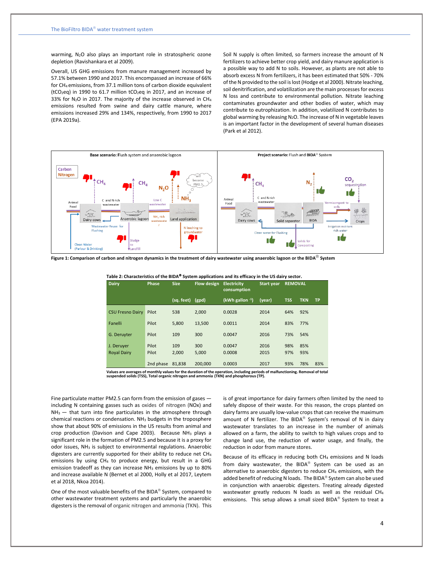warming, N<sub>2</sub>O also plays an important role in stratospheric ozone depletion (Ravishankara et al 2009).

Overall, US GHG emissions from manure management increased by 57.1% between 1990 and 2017. This encompassed an increase of 66% for CH<sup>4</sup> emissions, from 37.1 million tons of carbon dioxide equivalent (tCO2eq) in 1990 to 61.7 million tCO2eq in 2017, and an increase of 33% for N<sub>2</sub>O in 2017. The majority of the increase observed in CH<sub>4</sub> emissions resulted from swine and dairy cattle manure, where emissions increased 29% and 134%, respectively, from 1990 to 2017 (EPA 2019a).

Soil N supply is often limited, so farmers increase the amount of N fertilizers to achieve better crop yield, and dairy manure application is a possible way to add N to soils. However, as plants are not able to absorb excess N from fertilizers, it has been estimated that 50% - 70% of the N provided to the soil is lost (Hodge et al 2000). Nitrate leaching, soil denitrification, and volatilization are the main processes for excess N loss and contribute to environmental pollution. Nitrate leaching contaminates groundwater and other bodies of water, which may contribute to eutrophization. In addition, volatilized N contributes to global warming by releasing N<sub>2</sub>O. The increase of N in vegetable leaves is an important factor in the development of several human diseases (Park et al 2012).



**Figure 1: Comparison of carbon and nitrogen dynamics in the treatment of dairy wastewater using anaerobic lagoon or the BIDA System**

| Dairy                   | Phase            | <b>Flow design Electricity</b><br><b>Size</b> |         | <b>Start year</b><br>consumption |        | <b>REMOVAL</b> |            |           |
|-------------------------|------------------|-----------------------------------------------|---------|----------------------------------|--------|----------------|------------|-----------|
|                         |                  | (sq. feet)                                    | (gpd)   | (kWh gallon $-1$ )               | (year) | <b>TSS</b>     | <b>TKN</b> | <b>TP</b> |
| <b>CSU Fresno Dairy</b> | Pilot            | 538                                           | 2.000   | 0.0028                           | 2014   | 64%            | 92%        |           |
| Fanelli                 | Pilot            | 5.800                                         | 13.500  | 0.0011                           | 2014   | 83%            | 77%        |           |
| G. Deruyter             | Pilot            | 109                                           | 300     | 0.0047                           | 2016   | 73%            | 54%        |           |
| J. Deruyer              | Pilot            | 109                                           | 300     | 0.0047                           | 2016   | 98%            | 85%        |           |
| <b>Royal Dairy</b>      | Pilot            | 2.000                                         | 5.000   | 0.0008                           | 2015   | 97%            | 93%        |           |
|                         | 2nd phase 81,838 |                                               | 200.000 | 0.0003                           | 2017   | 93%            | 78%        | 83%       |

**Table 2: Characteristics of the BIDA System applications and its efficacy in the US dairy sector.**

Values are averages of monthly values for the duration of the operation, including periods of malfunctioning. Removal of total<br>suspended solids (TSS), Total organic nitrogen and ammonia (TKN) and phosphorous (TP).

Fine particulate matter PM2.5 can form from the emission of gases including N containing gasses such as oxides of nitrogen (NOx) and  $NH<sub>3</sub>$  — that turn into fine particulates in the atmosphere through chemical reactions or condensation.  $NH<sub>3</sub>$  budgets in the troposphere show that about 90% of emissions in the US results from animal and crop production (Davison and Cape 2003). Because NH<sup>3</sup> plays a significant role in the formation of PM2.5 and because it is a proxy for odor issues, NH<sub>3</sub> is subject to environmental regulations. Anaerobic digesters are currently supported for their ability to reduce net CH<sup>4</sup> emissions by using CH<sup>4</sup> to produce energy, but result in a GHG emission tradeoff as they can increase NH<sub>3</sub> emissions by up to 80% and increase available N (Bernet et al 2000, Holly et al 2017, Leytem et al 2018, Nkoa 2014).

One of the most valuable benefits of the BIDA<sup>®</sup> System, compared to other wastewater treatment systems and particularly the anaerobic digesters is the removal of organic nitrogen and ammonia (TKN). This is of great importance for dairy farmers often limited by the need to safely dispose of their waste. For this reason, the crops planted on dairy farms are usually low-value crops that can receive the maximum amount of N fertilizer. The BIDA<sup>®</sup> System's removal of N in dairy wastewater translates to an increase in the number of animals allowed on a farm, the ability to switch to high values crops and to change land use, the reduction of water usage, and finally, the reduction in odor from manure stores.

Because of its efficacy in reducing both CH<sub>4</sub> emissions and N loads from dairy wastewater, the BIDA<sup>®</sup> System can be used as an alternative to anaerobic digesters to reduce CH4 emissions, with the added benefit of reducing N loads. The BIDA® System can also be used in conjunction with anaerobic digesters. Treating already digested wastewater greatly reduces N loads as well as the residual CH<sup>4</sup> emissions. This setup allows a small sized BIDA System to treat a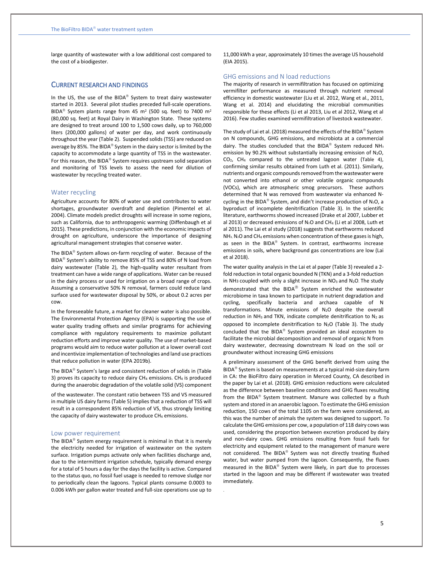large quantity of wastewater with a low additional cost compared to the cost of a biodigester.

#### CURRENT RESEARCH AND FINDINGS

In the US, the use of the BIDA® System to treat dairy wastewater started in 2013. Several pilot studies preceded full-scale operations. BIDA<sup>®</sup> System plants range from 45 m<sup>2</sup> (500 sq. feet) to 7400 m<sup>2</sup> (80,000 sq. feet) at Royal Dairy in Washington State. These systems are designed to treat around 100 to 1,500 cows daily, up to 760,000 liters (200,000 gallons) of water per day, and work continuously throughout the year (Table 2). Suspended solids (TSS) are reduced on average by 85%. The BIDA® System in the dairy sector is limited by the capacity to accommodate a large quantity of TSS in the wastewater. For this reason, the BIDA<sup>®</sup> System requires upstream solid separation and monitoring of TSS levels to assess the need for dilution of wastewater by recycling treated water.

#### Water recycling

Agriculture accounts for 80% of water use and contributes to water shortages, groundwater overdraft and depletion (Pimentel et al. 2004). Climate models predict droughts will increase in some regions, such as California, due to anthropogenic warming (Diffenbaugh et al 2015). These predictions, in conjunction with the economic impacts of drought on agriculture, underscore the importance of designing agricultural management strategies that conserve water.

The BIDA<sup>®</sup> System allows on-farm recycling of water. Because of the BIDA<sup>®</sup> System's ability to remove 85% of TSS and 80% of N load from dairy wastewater (Table 2), the high-quality water resultant from treatment can have a wide range of applications. Water can be reused in the dairy process or used for irrigation on a broad range of crops. Assuming a conservative 50% N removal, farmers could reduce land surface used for wastewater disposal by 50%, or about 0.2 acres per cow.

In the foreseeable future, a market for cleaner water is also possible. The Environmental Protection Agency (EPA) is supporting the use of water quality trading offsets and similar programs for achieving compliance with regulatory requirements to maximize pollutant reduction efforts and improve water quality. The use of market-based programs would aim to reduce water pollution at a lower overall cost and incentivize implementation of technologies and land use practices that reduce pollution in water [\(EPA](https://www.epa.gov/nutrient-policy-data) 2019b).

The BIDA<sup>®</sup> System's large and consistent reduction of solids in (Table 3) proves its capacity to reduce dairy  $CH_4$  emissions. CH<sub>4</sub> is produced during the anaerobic degradation of the volatile solid (VS) component

of the wastewater. The constant ratio between TSS and VS measured in multiple US dairy farms (Table 5) implies that a reduction of TSS will result in a correspondent 85% reduction of VS, thus strongly limiting the capacity of dairy wastewater to produce CH<sub>4</sub> emissions.

#### Low power requirement

The BIDA<sup>®</sup> System energy requirement is minimal in that it is merely the electricity needed for irrigation of wastewater on the system surface. Irrigation pumps activate only when facilities discharge and, due to the intermittent irrigation schedule, typically demand energy for a total of 5 hours a day for the days the facility is active. Compared to the status quo, no fossil fuel usage is needed to remove sludge nor to periodically clean the lagoons. Typical plants consume 0.0003 to 0.006 kWh per gallon water treated and full-size operations use up to

11,000 kWh a year, approximately 10 times the average US household (EIA 2015).

#### GHG emissions and N load reductions

The majority of research in vermifiltration has focused on optimizing vermifilter performance as measured through nutrient removal efficiency in domestic wastewater (Liu et al. 2012, Wang et al., 2011, Wang et al. 2014) and elucidating the microbial communities responsible for these effects (Li et al 2013, Liu et al 2012, Wang et al 2016). Few studies examined vermifiltration of livestock wastewater.

The study of Lai et al. (2018) measured the effects of the BIDA® System on N compounds, GHG emissions, and microbiota at a commercial dairy. The studies concluded that the BIDA® System reduced NH<sub>3</sub> emission by 90.2% without substantially increasing emission of  $N_2O$ , CO2, CH<sup>4</sup> compared to the untreated lagoon water (Table 4), confirming similar results obtained from Luth et al. (2011). Similarly, nutrients and organic compounds removed from the wastewater were not converted into ethanol or other volatile organic compounds (VOCs), which are atmospheric smog precursors. These authors determined that N was removed from wastewater via enhanced Ncycling in the BIDA® System, and didn't increase production of N2O, a byproduct of incomplete denitrification (Table 3). In the scientific literature, earthworms showed increased (Drake et al 2007, Lubber et al 2013) or decreased emissions of  $N_2O$  and CH<sub>4</sub> (Li et al 2008, Luth et al 2011). The Lai et al study (2018) suggests that earthworms reduced  $NH<sub>3</sub>$ , N<sub>2</sub>O and CH<sub>4</sub> emissions when concentration of these gases is high, as seen in the BIDA<sup>®</sup> System. In contrast, earthworms increase emissions in soils, where background gas concentrations are low (Lai et al 2018).

The water quality analysis in the Lai et al paper (Table 3) revealed a 2 fold reduction in total organic bounded N (TKN) and a 3-fold reduction in NH<sub>3</sub> coupled with only a slight increase in  $NO<sub>3</sub>$  and  $N<sub>2</sub>O$ . The study demonstrated that the BIDA $^{\circledR}$  System enriched the wastewater microbiome in taxa known to participate in nutrient degradation and cycling, specifically bacteria and archaea capable of N transformations. Minute emissions of  $N_2O$  despite the overall reduction in  $NH<sub>3</sub>$  and TKN, indicate complete denitrification to  $N<sub>2</sub>$  as opposed to incomplete denitrification to  $N_2O$  (Table 3). The study concluded that the BIDA® System provided an ideal ecosystem to facilitate the microbial decomposition and removal of organic N from dairy wastewater, decreasing downstream N load on the soil or groundwater without increasing GHG emissions

A preliminary assessment of the GHG benefit derived from using the BIDA<sup>®</sup> System is based on measurements at a typical mid-size dairy farm in CA: the BioFiltro dairy operation in Merced County, CA described in the paper by Lai et al. (2018). GHG emission reductions were calculated as the difference between baseline conditions and GHG fluxes resulting from the BIDA<sup>®</sup> System treatment. Manure was collected by a flush system and stored in an anaerobic lagoon. To estimate the GHG emission reduction, 150 cows of the total 1105 on the farm were considered, as this was the number of animals the system was designed to support. To calculate the GHG emissions per cow, a population of 118 dairy cows was used, considering the proportion between excretion produced by dairy and non-dairy cows. GHG emissions resulting from fossil fuels for electricity and equipment related to the management of manure were not considered. The BIDA® System was not directly treating flushed water, but water pumped from the lagoon. Consequently, the fluxes measured in the BIDA® System were likely, in part due to processes started in the lagoon and may be different if wastewater was treated immediately.

.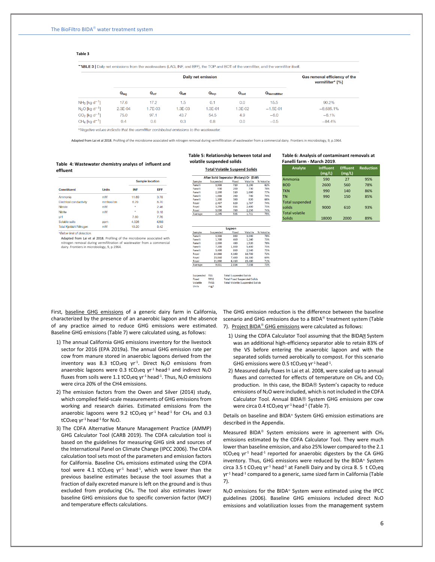#### **Table 3**

TABLE 3 | Daily net emissions from the wastewaters (LAG, INF, and EFF), the TOP and BOT of the vermifilter, and the vermifilter itself.

|                                       |           |                  | Gas removal efficiency of the<br>vermifilter* [%] |                  |           |                          |             |
|---------------------------------------|-----------|------------------|---------------------------------------------------|------------------|-----------|--------------------------|-------------|
|                                       | $Q_{lag}$ | $Q_{\text{inf}}$ | $Q_{\text{eff}}$                                  | $Q_{\text{top}}$ | $Q_{bot}$ | Q <sub>Vermifilter</sub> |             |
| $NH_3$ [kg d <sup>-1</sup> ]          | 17.6      | 17.2             | 1.5                                               | 0.1              | 0.0       | 15.5                     | 90.2%       |
| $N_2O$ [kg d <sup>-1</sup> ]          | 2.3E-04   | 1.7E-03          | 1.3E-03                                           | $.3E-01$         | 1.3E-02   | $-1.5E-01$               | $-8,685,1%$ |
| $CO2$ [kg d <sup>-1</sup> ]           | 75.0      | 97.1             | 43.7                                              | 54.5             | 4.9       | $-6.0$                   | $-6.1%$     |
| CH <sub>4</sub> [kg d <sup>-1</sup> ] | 0.4       | 0.6              | 0.3                                               | 0.8              | 0.0       | $-0.5$                   | $-84.4%$    |

\*Negative values indicate that the vermifilter contributed emissions to the wastewater.

Adapted from Lai et al 2018. Profiling of the microbiome associated with nitrogen removal during vermifiltration of wastewater from a commercial dairy. Frontiers in microbiology, 9, p.1964.

#### **Table 4: Wastewater chemistry analyss of influent and effluent**

|                                |              |            | <b>Sample location</b> |
|--------------------------------|--------------|------------|------------------------|
| <b>Constituent</b>             | <b>Units</b> | <b>INF</b> | EFF                    |
| Ammonia                        | mM           | 11.69      | 3.78                   |
| Electrical conductivity        | mmhos/cm     | 6.29       | 6.70                   |
| Nitrate                        | mM           | ٠          | 2.46                   |
| Nitrite                        | mM           | ×          | 0.18                   |
| pH                             |              | 7.60       | 7.76                   |
| Soluble salts                  | ppm          | 4.026      | 4288                   |
| <b>Total Kieldahl Nitrogen</b> | mM           | 10.20      | $Q$ $AO$               |

\*Below limit of detection.

Adapted from Lai et al 2018. Profiling of the microbiome associated with nitrogen removal during vermifiltration of wastewater from a commercial dairy. Frontiers in microbiology, 9, p.1964.

#### **Table 5: Relationship between total and volatile suspended solids**

**Total Volatile Suspend Solids** 

| After Solid Seperator (Rotary) Or (DAF) |           |       |          |            |  |  |  |
|-----------------------------------------|-----------|-------|----------|------------|--|--|--|
| Sample                                  | Suspended | Fixed | Volatile | % Volatile |  |  |  |
| Fanelli                                 | 3,900     | 710   | 3,190    | 82%        |  |  |  |
| Fanelli                                 | 930       | 200   | 730      | 78%        |  |  |  |
| Fanelli                                 | 2,200     | 510   | 1,690    | 77%        |  |  |  |
| Fanelli                                 | 1.000     | 260   | 740      | 74%        |  |  |  |
| Fanelli                                 | 1,200     | 380   | 820      | 68%        |  |  |  |
| Royal                                   | 2.407     | 620   | 1.787    | 74%        |  |  |  |
| Royal                                   | 3,296     | 816   | 2,480    | 75%        |  |  |  |
| Royal                                   | 3.030     | 780   | 2.250    | 74%        |  |  |  |
| Average                                 | 2.245     | 535   | 1.711    | 75%        |  |  |  |

| Lagoon  |           |       |          |            |  |  |  |
|---------|-----------|-------|----------|------------|--|--|--|
| Sample  | Suspended | Fixed | Volatile | % Volatile |  |  |  |
| Fanelli | 3,900     | 860   | 3,040    | 78%        |  |  |  |
| Fanelli | 1.700     | 460   | 1.240    | 73%        |  |  |  |
| Fanelli | 2,000     | 480   | 1,520    | 76%        |  |  |  |
| Fanelli | 7.200     | 1.800 | 5.400    | 75%        |  |  |  |
| Fanelli | 3.400     | 860   | 2,540    | 75%        |  |  |  |
| Royal   | 14.860    | 4.160 | 10.700   | 72%        |  |  |  |
| Royal   | 23,860    | 7,480 | 16,380   | 69%        |  |  |  |
| Royal   | 21,890    | 6,410 | 15,480   | 71%        |  |  |  |
| Average | 9,851     | 2,814 | 7,038    | 73%        |  |  |  |

TFSS<br>TVSS

Total Suspended Solids<br>Total Fixed Suspended Solids<br>Total Volatile Suspended Sol

|         | Table 6: Analysis of contaminant removals at |                             |  |
|---------|----------------------------------------------|-----------------------------|--|
|         | Fanelli farm - March 2019.                   |                             |  |
| Analyte |                                              | Inffluant Effluant Paductic |  |

| Analyte                          | <b>Inffluent</b><br>(mg/L) | <b>Effluent</b><br>(mg/L) | <b>Reduction</b> |
|----------------------------------|----------------------------|---------------------------|------------------|
| Ammonia                          | 590                        | 27                        | 95%              |
| <b>BOD</b>                       | 2600                       | 560                       | 78%              |
| <b>TKN</b>                       | 990                        | 140                       | 86%              |
| <b>TN</b>                        | 990                        | 150                       | 85%              |
| <b>Total suspended</b><br>solids | 9000                       | 610                       | 93%              |
| <b>Total volatile</b><br>Solids  | 18000                      | 2000                      | 89%              |

First, baseline GHG emissions of a generic dairy farm in California, characterized by the presence of an anaerobic lagoon and the absence of any practice aimed to reduce GHG emissions were estimated. Baseline GHG emissions (Table 7) were calculated using, as follows:

- 1) The annual California GHG emissions inventory for the livestock sector for 2016 (EPA 2019a). The annual GHG emission rate per cow from manure stored in anaerobic lagoons derived from the inventory was 8.3 tCO<sub>2</sub>eq yr<sup>-1</sup>. Direct N<sub>2</sub>O emissions from anaerobic lagoons were 0.3 tCO<sub>2</sub>eq yr<sup>-1</sup> head<sup>-1</sup> and indirect N<sub>2</sub>O fluxes from soils were 1.1 tCO<sub>2</sub>eq yr<sup>-1</sup> head<sup>-1</sup>. Thus, N<sub>2</sub>O emissions were circa 20% of the CH4 emissions.
- 2) The emission factors from the Owen and Silver (2014) study, which compiled field-scale measurements of GHG emissions from working and research dairies. Estimated emissions from the anaerobic lagoons were 9.2 tCO<sub>2</sub>eq yr<sup>-1</sup> head<sup>-1</sup> for CH<sub>4</sub> and 0.3 tCO<sub>2</sub>eq yr<sup>-1</sup> head<sup>-1</sup> for  $N_2O$ .
- 3) The CDFA Alternative Manure Management Practice (AMMP) GHG Calculator Tool (CARB 2019). The CDFA calculation tool is based on the guidelines for measuring GHG sink and sources of the International Panel on Climate Change (IPCC 2006). The CDFA calculation tool sets most of the parameters and emission factors for California. Baseline CH<sup>4</sup> emissions estimated using the CDFA tool were 4.1 tCO<sub>2</sub>eq  $yr<sup>-1</sup>$  head<sup>-1</sup>, which were lower than the previous baseline estimates because the tool assumes that a fraction of daily excreted manure is left on the ground and is thus excluded from producing CH4. The tool also estimates lower baseline GHG emissions due to specific conversion factor (MCF) and temperature effects calculations.

The GHG emission reduction is the difference between the baseline scenario and GHG emissions due to a BIDA<sup>®</sup> treatment system (Table 7). Project BIDA<sup>®</sup> GHG emissions were calculated as follows:

- 1) Using the CDFA Calculator Tool assuming that the BIDA<sup>2</sup> System was an additional high-efficiency separator able to retain 83% of the VS before entering the anaerobic lagoon and with the separated solids turned aerobically to compost. For this scenario GHG emissions were 0.5 tCO<sub>2</sub>eq yr<sup>-1</sup> head<sup>-1</sup>.
- 2) Measured daily fluxes In Lai et al. 2008, were scaled up to annual fluxes and corrected for effects of temperature on  $CH_4$  and  $CO_2$ production. In this case, the BIDA® System's capacity to reduce emissions of N<sub>2</sub>O were included, which is not included in the CDFA Calculator Tool. Annual BIDA® System GHG emissions per cow were circa 0.4 tCO<sub>2</sub>eq yr<sup>-1</sup> head<sup>-1</sup> (Table 7).

Details on baseline and BIDA® System GHG emission estimations are described in the Appendix.

Measured BIDA<sup>®</sup> System emissions were in agreement with CH<sub>4</sub> emissions estimated by the CDFA Calculator Tool. They were much lower than baseline emission, and also 25% lower compared to the 2.1  $tCO_2$ eq yr<sup>-1</sup> head<sup>-1</sup> reported for anaerobic digesters by the CA GHG inventory. Thus, GHG emissions were reduced by the BIDA® System circa 3.5 t CO<sub>2</sub>eq yr<sup>-1</sup> head<sup>-1</sup> at Fanelli Dairy and by circa 8.5 t CO<sub>2</sub>eq yr-1 head-1 compared to a generic, same sized farm in California (Table 7).

 $N_2$ O emissions for the BIDA<sup>®</sup> System were estimated using the IPCC guidelines (2006). Baseline GHG emissions included direct  $N_2O$ emissions and volatilization losses from the management system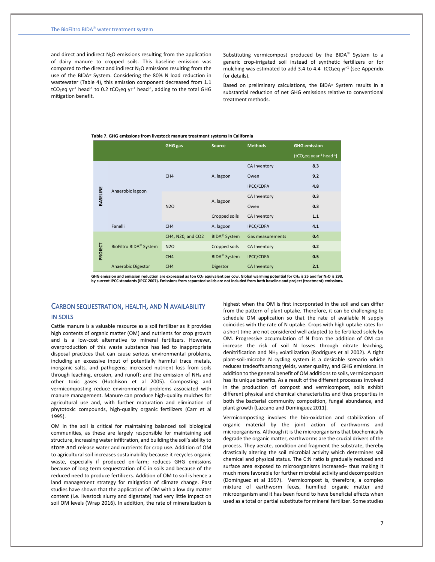and direct and indirect  $N_2O$  emissions resulting from the application of dairy manure to cropped soils. This baseline emission was compared to the direct and indirect  $N_2O$  emissions resulting from the use of the BIDA<sup>®</sup> System. Considering the 80% N load reduction in wastewater (Table 4), this emission component decreased from 1.1  $tCO_2$ eq yr<sup>-1</sup> head<sup>-1</sup> to 0.2 tCO<sub>2</sub>eq yr<sup>-1</sup> head<sup>-1</sup>, adding to the total GHG mitigation benefit.

Substituting vermicompost produced by the BIDA<sup>®</sup> System to a generic crop-irrigated soil instead of synthetic fertilizers or for mulching was estimated to add 3.4 to 4.4  $\mathsf{tCO}_2$ eq yr<sup>-1</sup> (see Appendix for details).

Based on preliminary calculations, the BIDA® System results in a substantial reduction of net GHG emissions relative to conventional treatment methods.

#### **Table 7. GHG emissions from livestock manure treatment systems in California**

|                 |                                    | GHG gas           | <b>Source</b>       | <b>Methods</b>          | <b>GHG emission</b>      |
|-----------------|------------------------------------|-------------------|---------------------|-------------------------|--------------------------|
|                 |                                    |                   |                     |                         | $(tCO2eq year-1 head-1)$ |
|                 |                                    |                   |                     | CA Inventory            | 8.3                      |
|                 |                                    | CH <sub>4</sub>   | A. lagoon           | Owen                    | 9.2                      |
|                 |                                    |                   |                     | <b>IPCC/CDFA</b>        | 4.8                      |
| <b>BASELINE</b> | Anaerobic lagoon                   |                   |                     | CA Inventory            | 0.3                      |
|                 |                                    | <b>N2O</b>        | A. lagoon           | Owen                    | 0.3                      |
|                 |                                    |                   | Cropped soils       | CA Inventory            | 1.1                      |
|                 | Fanelli                            | CH <sub>4</sub>   | A. lagoon           | <b>IPCC/CDFA</b>        | 4.1                      |
|                 |                                    | CH4, N20, and CO2 | <b>BIDA®</b> System | <b>Gas measurements</b> | 0.4                      |
| PROJECT         | BioFiltro BIDA <sup>®</sup> System | <b>N2O</b>        | Cropped soils       | <b>CA Inventory</b>     | 0.2                      |
|                 |                                    | CH <sub>4</sub>   | <b>BIDA®</b> System | <b>IPCC/CDFA</b>        | 0.5                      |
|                 | Anaerobic Digestor                 | CH <sub>4</sub>   | <b>Digestor</b>     | <b>CA Inventory</b>     | 2.1                      |

GHG emission and emission reduction are expressed as ton CO2 equivalent per cow. Global warming potential for CH4 is 25 and for N2O is 298,<br>by current IPCC standards (IPCC 2007). Emissions from separated solids are not inc

## CARBON SEQUESTRATION, HEALTH, AND N AVAILABILITY IN SOILS

Cattle manure is a valuable resource as a soil fertilizer as it provides high contents of organic matter (OM) and nutrients for crop growth and is a low-cost alternative to mineral fertilizers. However, overproduction of this waste substance has led to inappropriate disposal practices that can cause serious environmental problems, including an excessive input of potentially harmful trace metals, inorganic salts, and pathogens; increased nutrient loss from soils through leaching, erosion, and runoff; and the emission of NH<sub>3</sub> and other toxic gases (Hutchison et al 2005). Composting and vermicomposting reduce environmental problems associated with manure management. Manure can produce high-quality mulches for agricultural use and, with further maturation and elimination of phytotoxic compounds, high-quality organic fertilizers (Carr et al 1995).

OM in the soil is critical for maintaining balanced soil biological communities, as these are largely responsible for maintaining soil structure, increasing water infiltration, and building the soil's ability to store and release water and nutrients for crop use. Addition of OM to agricultural soil increases sustainability because it recycles organic waste, especially if produced on-farm; reduces GHG emissions because of long term sequestration of C in soils and because of the reduced need to produce fertilizers. Addition of OM to soil is hence a land management strategy for mitigation of climate change. Past studies have shown that the application of OM with a low dry matter content (i.e. livestock slurry and digestate) had very little impact on soil OM levels (Wrap 2016). In addition, the rate of mineralization is

highest when the OM is first incorporated in the soil and can differ from the pattern of plant uptake. Therefore, it can be challenging to schedule OM application so that the rate of available N supply coincides with the rate of N uptake. Crops with high uptake rates for a short time are not considered well adapted to be fertilized solely by OM. Progressive accumulation of N from the addition of OM can increase the risk of soil N losses through nitrate leaching, denitrification and NH<sup>3</sup> volatilization (Rodrigues et al 2002). A tight plant-soil-microbe N cycling system is a desirable scenario which reduces tradeoffs among yields, water quality, and GHG emissions. In addition to the general benefit of OM additions to soils, vermicompost has its unique benefits. As a result of the different processes involved in the production of compost and vermicompost, soils exhibit different physical and chemical characteristics and thus properties in both the bacterial community composition, fungal abundance, and plant growth (Lazcano and Dominguez 2011).

Vermicomposting involves the bio-oxidation and stabilization of organic material by the joint action of earthworms and microorganisms. Although it is the microorganisms that biochemically degrade the organic matter, earthworms are the crucial drivers of the process. They aerate, condition and fragment the substrate, thereby drastically altering the soil microbial activity which determines soil chemical and physical status. The C:N ratio is gradually reduced and surface area exposed to microorganisms increased– thus making it much more favorable for further microbial activity and decomposition (Domínguez et al 1997). Vermicompost is, therefore, a complex mixture of earthworm feces, humified organic matter and microorganism and it has been found to have beneficial effects when used as a total or partial substitute for mineral fertilizer. Some studies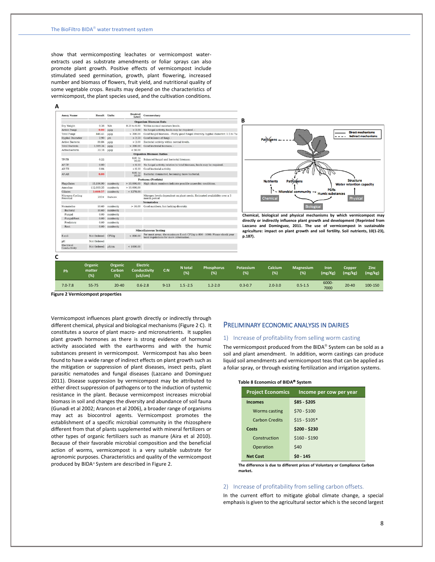show that vermicomposting leachates or vermicompost waterextracts used as substrate amendments or foliar sprays can also promote plant growth. Positive effects of vermicompost include stimulated seed germination, growth, plant flowering, increased number and biomass of flowers, fruit yield, and nutritional quality of some vegetable crops. Results may depend on the characteristics of vermicompost, the plant species used, and the cultivation conditions.

| <b>Assay Name</b>             | <b>Result Units</b> |            | <b>Desired</b><br>Level | Commentary                                                                                                             |
|-------------------------------|---------------------|------------|-------------------------|------------------------------------------------------------------------------------------------------------------------|
|                               |                     |            |                         | <b>Organism Biomass Data</b>                                                                                           |
| Dry Weight                    | 0.38                | N/A        | $0.20 \text{ to } 0.80$ | Within normal moisture levels.                                                                                         |
| Active Fungi                  | 0.00                | uq/q       | > 3.00                  | No fungal activity, foods may be required. -                                                                           |
| Total Fungi                   | 446.41              | $\mu$ a/a  | > 300.00                | Good fungal biomass. - Fairly good fungal diversity, hyphal diameter: 1.5 to 7ur                                       |
| <b>Hyphal Diameter</b>        | 2.90                | µm         | > 2.50                  | Good balance of fungi. -                                                                                               |
| Active Bacteria               | 80.84               | $\mu$ g/g  | > 3.00                  | Bacterial activity within normal levels.                                                                               |
| Total Bacteria                | 1,989.34            | $\mu q/q$  | > 300.00                | Good bacterial biomass. -                                                                                              |
| Actinobacteria                | 33.18               | $\mu q/q$  | < 50.00                 |                                                                                                                        |
|                               |                     |            |                         | <b>Organism Biomass Ratios</b>                                                                                         |
| TF-TR                         | 0.22                |            | $0.01$ to<br>10.00      | Balanced fungal and bacterial biomass.                                                                                 |
| AF:TF                         | 0.00                |            | ${}< 0.10$              | No fungal activity relative to total biomass, foods may be required.                                                   |
| AB:TB                         | 0.04                |            | < 0.10                  | Good bacterial activity.                                                                                               |
| AF:AB                         | 0.00                |            | $0.01$ to<br>10.00      | Bacterial dominated, becoming more bacterial.                                                                          |
|                               |                     |            |                         | Protozoa (Protists)                                                                                                    |
| Flagellates                   | 15,196.90           | number/g   | >10,000,00              | High ciliate numbers indicate possible anaerobic conditions.                                                           |
| Amnehae                       | 112.603.35          | number/g   | >10.000.00              |                                                                                                                        |
| Ciliates                      | 3.660.57            | number/g   | < 1278.00               |                                                                                                                        |
| Nitrogen Cycling<br>Potential | $200+$              | lbs/acre   |                         | Nitrogen levels dependent on plant needs. Estimated availability over a 3<br>month period                              |
|                               |                     |            |                         | <b>Nematodes</b>                                                                                                       |
| Nematodes                     | 10.60               | number/g   | >10.00                  | Good numbers, but lacking diversity.                                                                                   |
| Bacteral                      | 10.60               | number/g   |                         |                                                                                                                        |
| Fungal                        | 0.00                | number/g   |                         |                                                                                                                        |
| Fungal/Root                   | 0.00                | number/g   |                         |                                                                                                                        |
| Predatory                     | 0.00                | number/g   |                         |                                                                                                                        |
| Root                          | 0.00                | number/g   |                         |                                                                                                                        |
|                               |                     |            |                         | <b>Miscellaneous Testing</b>                                                                                           |
| E.coli                        | Not Ordered         | CFU/q      | < 800.00                | For most areas, the maximum E.coli CFU/g is 800 - 1000. Please check your<br>local regulations for more information. - |
| pH                            | Not Ordered         |            |                         |                                                                                                                        |
| Electrical<br>Conductivity    | Not Ordered         | $\mu$ S/cm | < 1000.00               |                                                                                                                        |



**Chemical, biological and physical mechanisms by which vermicompost may directly or indirectly influence plant growth and development (Reprinted from Lazcano and Dominguez, 2011. The use of vermicompost in sustainable agriculture: impact on plant growth and soil fertility. Soil nutrients, 10(1-23), p.187).**

| Ph          | Organic<br>matter<br>(%) | <b>Organic</b><br>Carbon<br>(% ) | <b>Electric</b><br><b>Conductivity</b><br>(uS/cm) | C: N     | N total<br>(%) | <b>Phosphorus</b><br>(%) | Potassium<br>(%) | Calcium<br>(%) | <b>Magnesium</b><br>(%) | Iron<br>(mg/Kg) | Copper<br>(mg/kg) | Zinc<br>(mg/kg) |
|-------------|--------------------------|----------------------------------|---------------------------------------------------|----------|----------------|--------------------------|------------------|----------------|-------------------------|-----------------|-------------------|-----------------|
| $7.0 - 7.8$ | $55 - 75$                | $20 - 40$                        | $0.6 - 2.8$                                       | $9 - 13$ | $1.5 - 2.5$    | $1.2 - 2.0$              | $0.3 - 0.7$      | $2.0 - 3.0$    | $0.5 - 1.5$             | 6000-<br>7000   | $20 - 40$         | 100-150         |

**B**

**Figure 2 Vermicompost properties**

Vermicompost influences plant growth directly or indirectly through different chemical, physical and biological mechanisms (Figure 2 C). It constitutes a source of plant macro- and micronutrients. It supplies plant growth hormones as there is strong evidence of hormonal activity associated with the earthworms and with the humic substances present in vermicompost. Vermicompost has also been found to have a wide range of indirect effects on plant growth such as the mitigation or suppression of plant diseases, insect pests, plant parasitic nematodes and fungal diseases (Lazcano and Dominguez 2011). Disease suppression by vermicompost may be attributed to either direct suppression of pathogens or to the induction of systemic resistance in the plant. Because vermicompost increases microbial biomass in soil and changes the diversity and abundance of soil fauna (Gunadi et al 2002; Arancon et al 2006), a broader range of organisms may act as biocontrol agents. Vermicompost promotes the establishment of a specific microbial community in the rhizosphere different from that of plants supplemented with mineral fertilizers or other types of organic fertilizers such as manure (Aira et al 2010). Because of their favorable microbial composition and the beneficial action of worms, vermicompost is a very suitable substrate for agronomic purposes. Characteristics and quality of the vermicompost produced by BIDA<sup>®</sup> System are described in Figure 2.

## PRELIMINARY ECONOMIC ANALYSIS IN DAIRIES

#### 1) Increase of profitability from selling worm casting

The vermicompost produced from the BIDA<sup>®</sup> System can be sold as a soil and plant amendment. In addition, worm castings can produce liquid soil amendments and vermicompost teas that can be applied as a foliar spray, or through existing fertilization and irrigation systems.

#### **Table 8 Economics of BIDA System**

| <b>Project Economics</b> | Income per cow per year |
|--------------------------|-------------------------|
| <b>Incomes</b>           | \$85 - \$205            |
| <b>Worms casting</b>     | $$70 - $100$            |
| <b>Carbon Credits</b>    | $$15 - $105*$           |
| Costs                    | \$200 - \$230           |
| Construction             | $$160 - $190$           |
| Operation                | \$40                    |
| <b>Net Cost</b>          | $$0 - 145$              |

**The difference is due to different prices of Voluntary or Compliance Carbon market.**

#### 2) Increase of profitability from selling carbon offsets.

In the current effort to mitigate global climate change, a special emphasis is given to the agricultural sector which is the second largest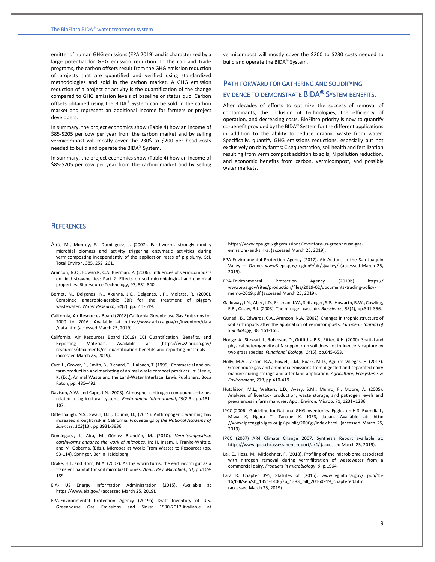emitter of human GHG emissions (EPA 2019) and is characterized by a large potential for GHG emission reduction. In the cap and trade programs, the carbon offsets result from the GHG emission reduction of projects that are quantified and verified using standardized methodologies and sold in the carbon market. A GHG emission reduction of a project or activity is the quantification of the change compared to GHG emission levels of baseline or status quo. Carbon offsets obtained using the BIDA® System can be sold in the carbon market and represent an additional income for farmers or project developers.

In summary, the project economics show (Table 4) how an income of \$85-\$205 per cow per year from the carbon market and by selling vermicompost will mostly cover the 230\$ to \$200 per head costs needed to build and operate the BIDA<sup>®</sup> System.

In summary, the project economics show (Table 4) how an income of \$85-\$205 per cow per year from the carbon market and by selling

vermicompost will mostly cover the \$200 to \$230 costs needed to build and operate the BIDA<sup>®</sup> System.

# PATH FORWARD FOR GATHERING AND SOLIDIFYING EVIDENCE TO DEMONSTRATE BIDA<sup>®</sup> SYSTEM BENEFITS.

After decades of efforts to optimize the success of removal of contaminants, the inclusion of technologies, the efficiency of operation, and decreasing costs, BioFiltro priority is now to quantify co-benefit provided by the BIDA<sup>®</sup> System for the different applications in addition to the ability to reduce organic waste from water. Specifically, quantify GHG emissions reductions, especially but not exclusively on dairy farms; C sequestration, soil health and fertilization resulting from vermicompost addition to soils; N pollution reduction, and economic benefits from carbon, vermicompost, and possibly water markets.

## **REFERENCES**

- Aira, M., Monroy, F., Dominguez, J. (2007). Earthworms strongly modify microbial biomass and activity triggering enzymatic activities during vermicomposting independently of the application rates of pig slurry. Sci. Total Environ. 385, 252–261.
- Arancon, N.Q., Edwards, C.A. Bierman, P. (2006). Influences of vermicomposts on field strawberries: Part 2. Effects on soil microbiological and chemical properties. Bioresource Technology, 97, 831-840.
- Bernet, N., Delgenes, N., Akunna, J.C., Delgenes, J.P., Moletta, R. (2000). Combined anaerobic-aerobic SBR for the treatment of piggery wastewater. *Water Research*, *34*(2), pp.611-619.
- California, Air Resources Board (2018) California Greenhouse Gas Emissions for 2000 to 2016. Available at [https://www.arb.ca.gov/cc/inventory/data](https://www.arb.ca.gov/cc/inventory/data%20/data.htm) [/data.htm](https://www.arb.ca.gov/cc/inventory/data%20/data.htm) (accessed March 25, 2019).
- California, Air Resources Board (2019) CCI Quantification, Benefits, and Reporting Materials. Available at [\(https://ww2.arb.ca.gov/](https://ww2.arb.ca.gov/%20resources/documents/cci-quantification-benefits-and-reporting-materials)  [resources/documents/cci-quantification-benefits-and-reporting-materials](https://ww2.arb.ca.gov/%20resources/documents/cci-quantification-benefits-and-reporting-materials) (accessed March 25, 2019).
- Carr, L., Grover, R., Smith, B., Richard, T., Halbach, T. (1995). Commercial and onfarm production and marketing of animal waste compost products. In: Steele, K. (Ed.), Animal Waste and the Land-Water Interface. Lewis Publishers, Boca Raton, pp. 485–492
- Davison, A.W. and Cape, J.N. (2003). Atmospheric nitrogen compounds—issues related to agricultural systems. *Environment International*, *29*(2-3), pp.181- 187.
- Diffenbaugh, N.S., Swain, D.L., Touma, D., (2015). Anthropogenic warming has increased drought risk in California. *Proceedings of the National Academy of Sciences*, *112*(13), pp.3931-3936.
- Domínguez, J., Aira, M. Gómez Brandón, M. (2010). *Vermicomposting: earthworms enhance the work of microbes*. In: H. Insam, I. Franke-Whittle, and M. Goberna, (Eds.), Microbes at Work: From Wastes to Resources (pp. 93-114). Springer, Berlin Heidelberg,
- Drake, H.L. and Horn, M.A. (2007). As the worm turns: the earthworm gut as a transient habitat for soil microbial biomes. *Annu. Rev. Microbiol.*, *61*, pp.169- 189.
- EIA- US Energy Information Administration (2015). Available at <https://www.eia.gov/> (accessed March 25, 2019).
- EPA-Environmental Protection Agency (2019a) [Draft Inventory of U.S.](https://www.epa.gov/sites/production/files/2019-02/documents/us-ghg-inventory-2019-main-text.pdf)  [Greenhouse Gas Emissions and Sinks: 1990-2017](https://www.epa.gov/sites/production/files/2019-02/documents/us-ghg-inventory-2019-main-text.pdf).Available

[https://www.epa.gov/ghgemissions/inventory-us-greenhouse-gas](https://www.epa.gov/ghgemissions/inventory-us-greenhouse-gas-emissions-and-sinks)[emissions-and-sinks.](https://www.epa.gov/ghgemissions/inventory-us-greenhouse-gas-emissions-and-sinks) (accessed March 25, 2019).

- EPA-Environmental Protection Agency (2017). Air Actions in the San Joaquin Valley — Ozone. www3.epa.gov/region9/air/sjvalley/ (accessed March 25, 2019).
- EPA-Environmental Protection Agency (2019b) https:// www.epa.gov/sites/production/files/2019-02/documents/trading-policymemo-2019.pdf (accessed March 25, 2019).
- Galloway, J.N., Aber, J.D., Erisman, J.W., Seitzinger, S.P., Howarth, R.W., Cowling, E.B., Cosby, B.J. (2003). The nitrogen cascade. *Bioscience*, *53*(4), pp.341-356.
- Gunadi, B., Edwards, C.A., Arancon, N.A. (2002). Changes in trophic structure of soil arthropods after the application of vermicomposts. *European Journal of Soil Biology*, 38, 161-165.
- Hodge, A., Stewart, J., Robinson, D., Griffiths, B.S., Fitter, A.H. (2000). Spatial and physical heterogeneity of N supply from soil does not influence N capture by two grass species. *Functional Ecology*, *14*(5), pp.645-653.
- Holly, M.A., Larson, R.A., Powell, J.M., Ruark, M.D., Aguirre-Villegas, H. (2017). Greenhouse gas and ammonia emissions from digested and separated dairy manure during storage and after land application. *Agriculture, Ecosystems & Environment*, *239*, pp.410-419.
- Hutchison, M.L., Walters, L.D., Avery, S.M., Munro, F., Moore, A. (2005). Analyses of livestock production, waste storage, and pathogen levels and prevalences in farm manures. Appl. Environ. Microb. 71, 1231–1236.
- IPCC (2006). Guideline for National GHG Inventories. Eggleston H S, Buendia L, Miwa K, Ngara T, Tanabe K. IGES, Japan. Available at: [http:](http://www.ipcc-nggip.iges.or.jp/public/2006gl/index.html)  [//www.ipccnggip.iges.or.jp/-public/2006gl/index.html.](http://www.ipcc-nggip.iges.or.jp/public/2006gl/index.html) (accessed March 25, 2019).
- IPCC (2007) AR4 Climate Change 2007: Synthesis Report available at. <https://www.ipcc.ch/assessment-report/ar4/> (accessed March 25, 2019).
- Lai, E., Hess, M., Mitloehner, F. (2018). Profiling of the microbiome associated with nitrogen removal during vermifiltration of wastewater from a commercial dairy. *Frontiers in microbiology*, *9*, p.1964.
- Lara R. Chapter 395, Statutes of (2016). [www.leginfo.ca.gov/](http://www.leginfo.ca.gov/) pub/15- 16/bill/sen/sb\_1351-1400/sb\_1383\_bill\_20160919\_chaptered.htm (accessed March 25, 2019).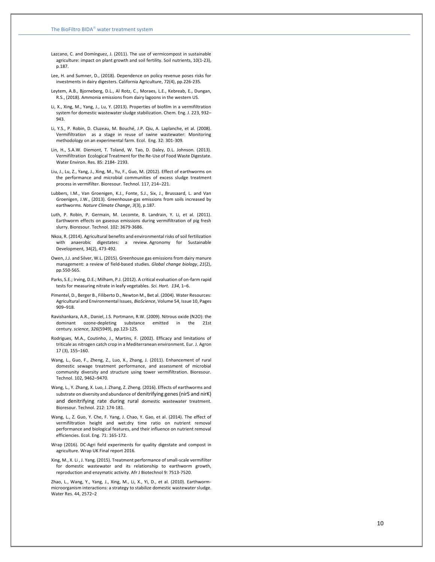- Lazcano, C. and Domínguez, J. (2011). The use of vermicompost in sustainable agriculture: impact on plant growth and soil fertility. Soil nutrients, 10(1 -23), p.187.
- Lee, H. and Sumner, D., (2018). Dependence on policy revenue poses risks for investments in dairy digesters. California Agriculture, 72(4), pp.226 -235.
- Leytem, A.B., Bjorneberg, D.L., Al Rotz, C., Moraes, L.E., Kebreab, E., Dungan, R.S., (2018). Ammonia emissions from dairy lagoons in the western US.
- Li, X., Xing, M., Yang, J., Lu, Y. (2013). Properties of biofilm in a vermifiltration system for domestic wastewater sludge stabilization. Chem. Eng. J. 223, 932 – 943.
- Li, Y.S., P. Robin, D. Cluzeau, M. Bouché, J.P. Qiu, A. Laplanche, et al. (2008). Vermifiltration as a stage in reuse of swine wastewater: Monitoring methodology on an experimental farm. Ecol. Eng. 32: 301 -309.
- Lin, H., S.A.W. Diemont, T. Toland, W. Tao, D. Daley, D.L. Johnson. (2013). Vermifiltration Ecological Treatment for the Re -Use of Food Waste Digestate. Water Environ. Res. 85: 2184 - 2193.
- Liu, J., Lu, Z., Yang, J., Xing, M., Yu, F., Guo, M. (2012). Effect of earthworms on the performance and microbial communities of excess sludge treatment process in vermifilter. Bioresour. Technol. 117, 214 –221.
- Lubbers, I.M., Van Groenigen, K.J., Fonte, S.J., Six, J., Brussaard, L. and Van Groenigen, J.W., (2013). Greenhouse -gas emissions from soils increased by earthworms. *Nature Climate Change* , *3*(3), p.187.
- Luth, P. Robin, P. Germain, M. Lecomte, B. Landrain, Y. Li, et al. (2011). Earthworm effects on gaseous emissions during vermifiltration of pig fresh slurry. Bioresour. Technol. 102: 3679 -3686.
- Nkoa, R. (2014). Agricultural benefits and environmental risks of soil fertilization with anaerobic digestates: a review. Agronomy for Sustainable Development, 34(2), 473 -492.
- Owen, J.J. and Silver, W.L. (2015). Greenhouse gas emissions from dairy manure management: a review of field‐based studies. *Global change biology* , *21*(2), pp.550 -565.
- Parks, S.E.; Irving, D.E.; Milham, P.J. (2012). A critical evaluation of on -farm rapid tests for measuring nitrate in leafy vegetables. *Sci. Hort. 134*, 1 –6.
- Pimentel, D., Berger B., Filiberto D., Newton M., Bet al. (2004). Water Resources: Agricultural and Environmental Issues, *BioScience*, Volume 54, Issue 10, Pages 909 –918.
- Ravishankara, A.R., Daniel, J.S. Portmann, R.W. (2009). Nitrous oxide (N2O): the dominant ozone -depleting substance emitted in the 21st century. *science* , *326*(5949), pp.123 -125.
- Rodrigues, M.A., Coutinho, J., Martins, F. (2002). Efficacy and limitations of triticale as nitrogen catch crop in a Mediterranean environment. Eur. J. Agron 17 (3), 155 –160.
- Wang, L., Guo, F., Zheng, Z., Luo, X., Zhang, J. (2011). Enhancement of rural domestic sewage treatment performance, and assessment of microbial community diversity and structure using tower vermifiltration. Bioresour. Technol. 102, 9462 –9470.
- Wang, L., Y. Zhang, X. Luo, J. Zhang, Z. Zheng. (2016). Effects of earthworms and substrate on diversity and abundance of denitrifying genes (nirS and nirK) and denitrifying rate during rural domestic wastewater treatment. Bioresour. Technol. 212: 174 -181.
- Wang, L., Z. Guo, Y. Che, F. Yang, J. Chao, Y. Gao, et al. (2014). The effect of vermifiltration height and wet:dry time ratio on nutrient removal performance and biological features, and their influence on nutrient removal efficiencies. Ecol. Eng. 71: 165 -172.
- Wrap (2016). DC -Agri field experiments for quality digestate and compost in agriculture. Wrap UK Final report 2016.
- Xing, M., X. Li , J. Yang. (2015). Treatment performance of small -scale vermifilter for domestic wastewater and its relationship to earthworm growth, reproduction and enzymatic activity. Afr J Biotechnol 9: 7513 -7520.

Zhao, L., Wang, Y., Yang, J., Xing, M., Li, X., Yi, D., et al. (2010). Earthworm microorganism interactions: a strategy to stabilize domestic wastewater sludge. Water Res. 44, 2572 – 2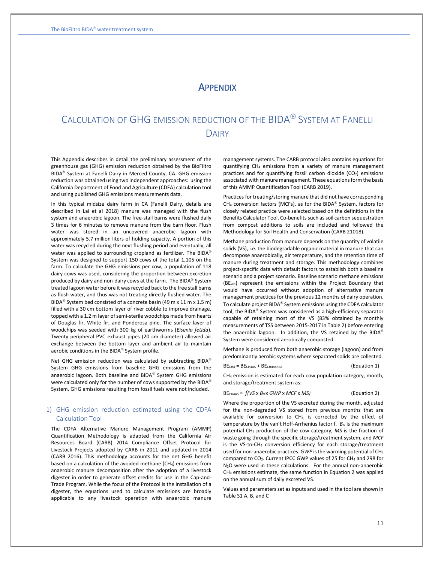# **APPENDIX**

# CALCULATION OF GHG EMISSION REDUCTION OF THE BIDA<sup>®</sup> SYSTEM AT FANELLI DAIRY

This Appendix describes in detail the preliminary assessment of the greenhouse gas (GHG) emission reduction obtained by the BioFiltro BIDA<sup>®</sup> System at Fanelli Dairy in Merced County, CA. GHG emission reduction was obtained using two independent approaches: using the California Department of Food and Agriculture (CDFA) calculation tool and using published GHG emissions measurements data.

In this typical midsize dairy farm in CA (Fanelli Dairy, details are described in Lai et al 2018) manure was managed with the flush system and anaerobic lagoon. The free-stall barns were flushed daily 3 times for 6 minutes to remove manure from the barn floor. Flush water was stored in an uncovered anaerobic lagoon with approximately 5.7 million liters of holding capacity. A portion of this water was recycled during the next flushing period and eventually, all water was applied to surrounding cropland as fertilizer. The BIDA® System was designed to support 150 cows of the total 1,105 on the farm. To calculate the GHG emissions per cow, a population of 118 dairy cows was used, considering the proportion between excretion produced by dairy and non-dairy cows at the farm. The BIDA<sup>®</sup> System treated lagoon water before it was recycled back to the free stall barns as flush water, and thus was not treating directly flushed water. The BIDA<sup>®</sup> System bed consisted of a concrete basin (49 m x 11 m x 1.5 m) filled with a 30 cm bottom layer of river cobble to improve drainage, topped with a 1.2 m layer of semi-sterile woodchips made from hearts of Douglas fir, White fir, and Ponderosa pine. The surface layer of woodchips was seeded with 300 kg of earthworms (*Eisenia fetida*). Twenty peripheral PVC exhaust pipes (20 cm diameter) allowed air exchange between the bottom layer and ambient air to maintain aerobic conditions in the BIDA<sup>®</sup> System profile.

Net GHG emission reduction was calculated by subtracting BIDA® System GHG emissions from baseline GHG emissions from the anaerobic lagoon. Both baseline and BIDA® System GHG emissions were calculated only for the number of cows supported by the BIDA® System. GHG emissions resulting from fossil fuels were not included.

## 1) GHG emission reduction estimated using the CDFA Calculation Tool

The CDFA Alternative Manure Management Program (AMMP) Quantification Methodology is adapted from the California Air Resources Board (CARB) 2014 Compliance Offset Protocol for Livestock Projects adopted by CARB in 2011 and updated in 2014 (CARB 2016). This methodology accounts for the net GHG benefit based on a calculation of the avoided methane (CH4) emissions from anaerobic manure decomposition after the adoption of a livestock digester in order to generate offset credits for use in the Cap-and-Trade Program. While the focus of the Protocol is the installation of a digester, the equations used to calculate emissions are broadly applicable to any livestock operation with anaerobic manure

management systems. The CARB protocol also contains equations for quantifying CH<sup>4</sup> emissions from a variety of manure management practices and for quantifying fossil carbon dioxide  $(CO<sub>2</sub>)$  emissions associated with manure management. These equations form the basis of this AMMP Quantification Tool (CARB 2019).

Practices for treating/storing manure that did not have corresponding CH<sub>4</sub> conversion factors (MCFs), as for the BIDA® System, factors for closely related practice were selected based on the definitions in the Benefits Calculator Tool. Co-benefits such as soil carbon sequestration from compost additions to soils are included and followed the Methodology for Soil Health and Conservation (CARB 21018).

Methane production from manure depends on the quantity of volatile solids (VS), i.e. the biodegradable organic material in manure that can decompose anaerobically, air temperature, and the retention time of manure during treatment and storage. This methodology combines project-specific data with default factors to establish both a baseline scenario and a project scenario. Baseline scenario methane emissions (BECH4) represent the emissions within the Project Boundary that would have occurred without adoption of alternative manure management practices for the previous 12 months of dairy operation. To calculate project BIDA® System emissions using the CDFA calculator tool, the BIDA® System was considered as a high-efficiency separator capable of retaining most of the VS (83% obtained by monthly measurements of TSS between 2015-2017 in Table 2) before entering the anaerobic lagoon. In addition, the VS retained by the BIDA® System were considered aerobically composted.

Methane is produced from both anaerobic storage (lagoon) and from predominantly aerobic systems where separated solids are collected.

$$
BECH4 = BECH4AS + BECH4nonAS
$$
 (Equation 1)

CH<sup>4</sup> emission is estimated for each cow population category, month, and storage/treatment system as:

#### BECH4AS = *f(VS* x *B<sup>0</sup>* x *GWP* x *MCF* x *MS)* (Equation 2)

Where the proportion of the VS excreted during the month, adjusted for the non-degraded VS stored from previous months that are available for conversion to CH4, is corrected by the effect of temperature by the van't Hoff-Arrhenius factor f. *B<sup>O</sup>* is the maximum potential CH<sup>4</sup> production of the cow category, *MS* is the fraction of waste going through the specific storage/treatment system, and *MCF* is the VS-to-CH<sup>4</sup> conversion efficiency for each storage/treatment used for non-anaerobic practices. *GWP* is the warming potential of CH<sup>4</sup> compared to CO<sub>2</sub>. Current IPCC GWP values of 25 for CH<sub>4</sub> and 298 for N<sub>2</sub>O were used in these calculations. For the annual non-anaerobic CH<sup>4</sup> emissions estimate, the same function in Equation 2 was applied on the annual sum of daily excreted VS.

Values and parameters set as inputs and used in the tool are shown in Table S1 A, B, and C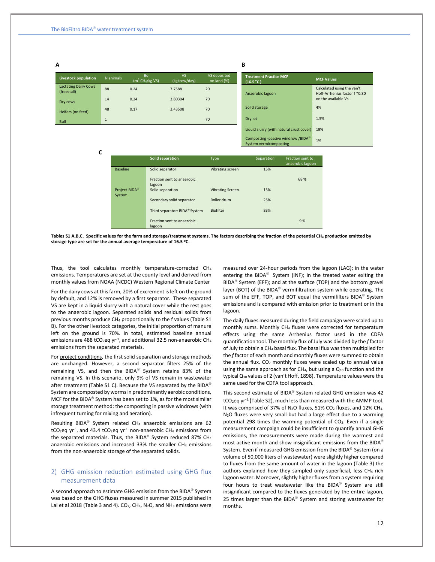| Livestock population                       | N animals    | <b>Bo</b><br>$(m^3 CH_4/kg VS)$ | <b>VS</b><br>(kg/cow/day) | VS deposited<br>on land (%) |
|--------------------------------------------|--------------|---------------------------------|---------------------------|-----------------------------|
| <b>Lactating Dairy Cows</b><br>(freestall) | 88           | 0.24                            | 7.7588                    | 20                          |
| Dry cows                                   | 14           | 0.24                            | 3.80304                   | 70                          |
| Heifers (on feed)                          | 48           | 0.17                            | 3.43508                   | 70                          |
| <b>Bull</b>                                | $\mathbf{1}$ |                                 |                           | 70                          |

#### **B**

| <b>Treatment Practice MCF</b><br>(16.5 °C)                               | <b>MCF Values</b>                                                                  |
|--------------------------------------------------------------------------|------------------------------------------------------------------------------------|
| Anaerobic lagoon                                                         | Calculated using the van't<br>Hoff-Arrhenius factor f *0.80<br>on the available Vs |
| Solid storage                                                            | 4%                                                                                 |
| Dry lot                                                                  | 1.5%                                                                               |
| Liquid slurry (with natural crust cover)                                 | 19%                                                                                |
| Composting -passive windrow /BIDA <sup>®</sup><br>System vermicomposting | 1%                                                                                 |

**C** 

|                           | <b>Solid separation</b>                   | Type                    | Separation | Fraction sent to<br>anaerobic lagoon |
|---------------------------|-------------------------------------------|-------------------------|------------|--------------------------------------|
| <b>Baseline</b>           | Solid separator                           | Vibrating screen        | 15%        |                                      |
|                           | Fraction sent to anaerobic<br>lagoon      |                         |            | 68 %                                 |
| Project-BIDA <sup>®</sup> | Solid separation                          | <b>Vibrating Screen</b> | 15%        |                                      |
| System                    |                                           |                         |            |                                      |
|                           | Secondary solid separator                 | Roller drum             | 25%        |                                      |
|                           | Third separator: BIDA <sup>®</sup> System | <b>Biofilter</b>        | 83%        |                                      |
|                           | Fraction sent to anaerobic                |                         |            | 9%                                   |
|                           | lagoon                                    |                         |            |                                      |

**Tables S1 A,B,C. Specific values for the farm and storage/treatment systems. The factors describing the fraction of the potential CH<sup>4</sup> production emitted by storage type are set for the annual average temperature of 16.5 <sup>o</sup>C.** 

Thus, the tool calculates monthly temperature-corrected CH<sup>4</sup> emissions. Temperatures are set at the county level and derived from monthly values from NOAA (NCDC) Western Regional Climate Center

For the dairy cows at this farm, 20% of excrement is left on the ground by default, and 12% is removed by a first separator. These separated VS are kept in a liquid slurry with a natural cover while the rest goes to the anaerobic lagoon. Separated solids and residual solids from previous months produce CH<sup>4</sup> proportionally to the f values (Table S1 B). For the other livestock categories, the initial proportion of manure left on the ground is 70%. In total, estimated baseline annual emissions are 488 tCO<sub>2</sub>eq yr<sup>-1</sup>, and additional 32.5 non-anaerobic CH<sub>4</sub> emissions from the separated materials.

For project conditions, the first solid separation and storage methods are unchanged. However, a second separator filters 25% of the remaining VS, and then the BIDA<sup>®</sup> System retains 83% of the remaining VS. In this scenario, only 9% of VS remain in wastewater after treatment (Table S1 C). Because the VS separated by the BIDA® System are composted by worms in predominantly aerobic conditions, MCF for the BIDA® System has been set to 1%, as for the most similar storage treatment method: the composting in passive windrows (with infrequent turning for mixing and aeration).

Resulting BIDA<sup>®</sup> System related CH<sub>4</sub> anaerobic emissions are 62  $tCO_2$ eq yr<sup>-1</sup>, and 43.4  $tCO_2$ eq yr<sup>-1</sup> non-anaerobic CH<sub>4</sub> emissions from the separated materials. Thus, the BIDA® System reduced 87% CH<sub>4</sub> anaerobic emissions and increased 33% the smaller CH<sup>4</sup> emissions from the non-anaerobic storage of the separated solids.

## 2) GHG emission reduction estimated using GHG flux measurement data

A second approach to estimate GHG emission from the BIDA<sup>®</sup> System was based on the GHG fluxes measured in summer 2015 published in Lai et al 2018 (Table 3 and 4).  $CO<sub>2</sub>$ , CH<sub>4</sub>, N<sub>2</sub>O, and NH<sub>3</sub> emissions were measured over 24-hour periods from the lagoon (LAG); in the water entering the BIDA® System (INF); in the treated water exiting the BIDA<sup>®</sup> System (EFF); and at the surface (TOP) and the bottom gravel layer (BOT) of the BIDA<sup>®</sup> vermifiltration system while operating. The sum of the EFF, TOP, and BOT equal the vermifilters BIDA® System emissions and is compared with emission prior to treatment or in the lagoon.

The daily fluxes measured during the field campaign were scaled up to monthly sums. Monthly CH<sup>4</sup> fluxes were corrected for temperature effects using the same Arrhenius factor used in the CDFA quantification tool. The monthly flux of July was divided by the *f* factor of July to obtain a CH<sup>4</sup> basal flux. The basal flux was then multiplied for the *f* factor of each month and monthly fluxes were summed to obtain the annual flux.  $CO<sub>2</sub>$  monthly fluxes were scaled up to annual value using the same approach as for CH<sub>4</sub>, but using a  $Q_{10}$  function and the typical Q<sup>10</sup> values of 2 (van't Hoff, 1898). Temperature values were the same used for the CDFA tool approach.

This second estimate of BIDA® System related GHG emission was 42 tCO<sub>2</sub>eq yr<sup>-1</sup> (Table S2), much less than measured with the AMMP tool. It was comprised of 37% of N<sub>2</sub>O fluxes, 51% CO<sub>2</sub> fluxes, and 12% CH<sub>4</sub>.  $N<sub>2</sub>O$  fluxes were very small but had a large effect due to a warming potential 298 times the warming potential of  $CO<sub>2</sub>$ . Even if a single measurement campaign could be insufficient to quantify annual GHG emissions, the measurements were made during the warmest and most active month and show insignificant emissions from the BIDA System. Even if measured GHG emission from the BIDA $^{\circledR}$  System (on a volume of 50,000 liters of wastewater) were slightly higher compared to fluxes from the same amount of water in the lagoon (Table 3) the authors explained how they sampled only superficial, less CH<sub>4</sub> rich lagoon water. Moreover, slightly higher fluxes from a system requiring four hours to treat wastewater like the BIDA<sup>®</sup> System are still insignificant compared to the fluxes generated by the entire lagoon, 25 times larger than the BIDA® System and storing wastewater for months.